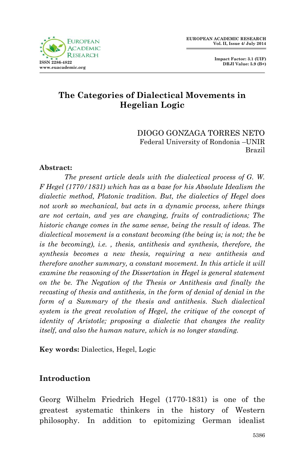

 **Impact Factor: 3.1 (UIF) DRJI Value: 5.9 (B+)**

# **The Categories of Dialectical Movements in Hegelian Logic**

DIOGO GONZAGA TORRES NETO Federal University of Rondonia –UNIR Brazil

#### **Abstract:**

*The present article deals with the dialectical process of G. W. F Hegel (1770/1831) which has as a base for his Absolute Idealism the dialectic method, Platonic tradition. But, the dialectics of Hegel does not work so mechanical, but acts in a dynamic process, where things are not certain, and yes are changing, fruits of contradictions; The historic change comes in the same sense, being the result of ideas. The dialectical movement is a constant becoming (the being is; is not; the be is the becoming), i.e. , thesis, antithesis and synthesis, therefore, the synthesis becomes a new thesis, requiring a new antithesis and therefore another summary, a constant movement. In this article it will examine the reasoning of the Dissertation in Hegel is general statement on the be. The Negation of the Thesis or Antithesis and finally the recasting of thesis and antithesis, in the form of denial of denial in the form of a Summary of the thesis and antithesis. Such dialectical system is the great revolution of Hegel, the critique of the concept of identity of Aristotle; proposing a dialectic that changes the reality itself, and also the human nature, which is no longer standing.*

**Key words:** Dialectics, Hegel, Logic

### **Introduction**

Georg Wilhelm Friedrich Hegel (1770-1831) is one of the greatest systematic thinkers in the history of Western philosophy. In addition to epitomizing German idealist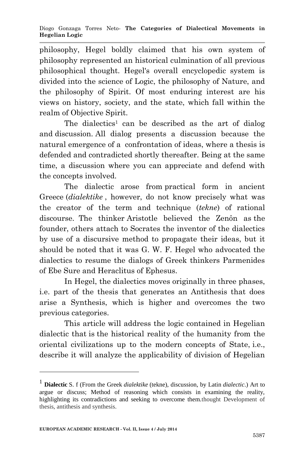philosophy, Hegel boldly claimed that his own system of philosophy represented an historical culmination of all previous philosophical thought. Hegel's overall encyclopedic system is divided into the science of Logic, the philosophy of Nature, and the philosophy of Spirit. Of most enduring interest are his views on history, society, and the state, which fall within the realm of Objective Spirit.

The dialectics<sup>1</sup> can be described as the art of dialog and discussion. All dialog presents a discussion because the natural emergence of a confrontation of ideas, where a thesis is defended and contradicted shortly thereafter. Being at the same time, a discussion where you can appreciate and defend with the concepts involved.

The dialectic arose from practical form in ancient Greece (*dialektike* , however, do not know precisely what was the creator of the term and technique (*tekne*) of rational discourse. The thinker Aristotle believed the Zenôn as the founder, others attach to Socrates the inventor of the dialectics by use of a discursive method to propagate their ideas, but it should be noted that it was G. W. F. Hegel who advocated the dialectics to resume the dialogs of Greek thinkers Parmenides of Ebe Sure and Heraclitus of Ephesus.

In Hegel, the dialectics moves originally in three phases, i.e. part of the thesis that generates an Antithesis that does arise a Synthesis, which is higher and overcomes the two previous categories.

This article will address the logic contained in Hegelian dialectic that is the historical reality of the humanity from the oriental civilizations up to the modern concepts of State, i.e., describe it will analyze the applicability of division of Hegelian

1

<sup>1</sup> **Dialectic** S. f (From the Greek *dialektike* (tekne), discussion, by Latin *dialectic*.) Art to argue or discuss; Method of reasoning which consists in examining the reality, highlighting its contradictions and seeking to overcome them.thought Development of thesis, antithesis and synthesis.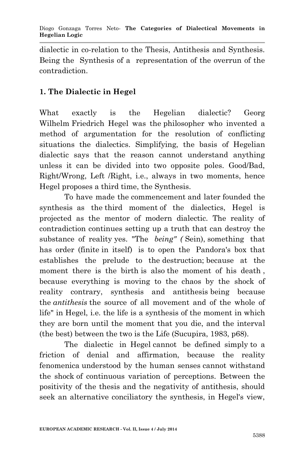dialectic in co-relation to the Thesis, Antithesis and Synthesis. Being the Synthesis of a representation of the overrun of the contradiction.

## **1. The Dialectic in Hegel**

What exactly is the Hegelian dialectic? Georg Wilhelm Friedrich Hegel was the philosopher who invented a method of argumentation for the resolution of conflicting situations the dialectics. Simplifying, the basis of Hegelian dialectic says that the reason cannot understand anything unless it can be divided into two opposite poles. Good/Bad, Right/Wrong, Left /Right, i.e., always in two moments, hence Hegel proposes a third time, the Synthesis.

To have made the commencement and later founded the synthesis as the third moment of the dialectics, Hegel is projected as the mentor of modern dialectic. The reality of contradiction continues setting up a truth that can destroy the substance of reality yes. "The *being" (* Sein), something that has order (finite in itself) is to open the Pandora's box that establishes the prelude to the destruction; because at the moment there is the birth is also the moment of his death, because everything is moving to the chaos by the shock of reality contrary, synthesis and antithesis being because the *antithesis* the source of all movement and of the whole of life" in Hegel, i.e. the life is a synthesis of the moment in which they are born until the moment that you die, and the interval (the best) between the two is the Life (Sucupira, 1983, p68).

The dialectic in Hegel cannot be defined simply to a friction of denial and affirmation, because the reality fenomenica understood by the human senses cannot withstand the shock of continuous variation of perceptions. Between the positivity of the thesis and the negativity of antithesis, should seek an alternative conciliatory the synthesis, in Hegel's view,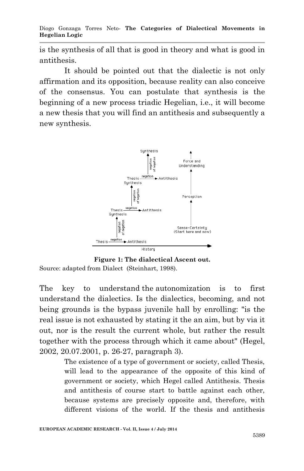is the synthesis of all that is good in theory and what is good in antithesis.

It should be pointed out that the dialectic is not only affirmation and its opposition, because reality can also conceive of the consensus. You can postulate that synthesis is the beginning of a new process triadic Hegelian, i.e., it will become a new thesis that you will find an antithesis and subsequently a new synthesis.



**Figure 1: The dialectical Ascent out.** Source: adapted from Dialect (Steinhart, 1998).

The key to understand the autonomization is to first understand the dialectics. Is the dialectics, becoming, and not being grounds is the bypass juvenile hall by enrolling: "is the real issue is not exhausted by stating it the an aim, but by via it out, nor is the result the current whole, but rather the result together with the process through which it came about" (Hegel, 2002, 20.07.2001, p. 26-27, paragraph 3).

> The existence of a type of government or society, called Thesis, will lead to the appearance of the opposite of this kind of government or society, which Hegel called Antithesis. Thesis and antithesis of course start to battle against each other, because systems are precisely opposite and, therefore, with different visions of the world. If the thesis and antithesis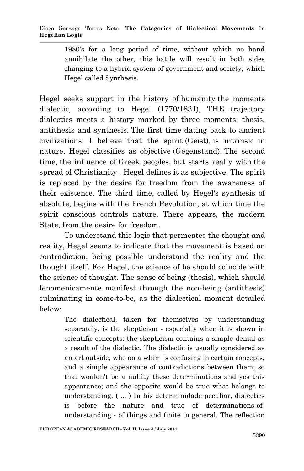1980's for a long period of time, without which no hand annihilate the other, this battle will result in both sides changing to a hybrid system of government and society, which Hegel called Synthesis.

Hegel seeks support in the history of humanity the moments dialectic, according to Hegel (1770/1831), THE trajectory dialectics meets a history marked by three moments: thesis, antithesis and synthesis. The first time dating back to ancient civilizations. I believe that the spirit (Geist), is intrinsic in nature, Hegel classifies as objective (Gegenstand). The second time, the influence of Greek peoples, but starts really with the spread of Christianity . Hegel defines it as subjective. The spirit is replaced by the desire for freedom from the awareness of their existence. The third time, called by Hegel's synthesis of absolute, begins with the French Revolution, at which time the spirit conscious controls nature. There appears, the modern State, from the desire for freedom.

To understand this logic that permeates the thought and reality, Hegel seems to indicate that the movement is based on contradiction, being possible understand the reality and the thought itself. For Hegel, the science of be should coincide with the science of thought. The sense of being (thesis), which should fenomenicamente manifest through the non-being (antithesis) culminating in come-to-be, as the dialectical moment detailed below:

> The dialectical, taken for themselves by understanding separately, is the skepticism - especially when it is shown in scientific concepts: the skepticism contains a simple denial as a result of the dialectic. The dialectic is usually considered as an art outside, who on a whim is confusing in certain concepts, and a simple appearance of contradictions between them; so that wouldn't be a nullity these determinations and yes this appearance; and the opposite would be true what belongs to understanding. ( ... ) In his determinidade peculiar, dialectics is before the nature and true of determinations-ofunderstanding - of things and finite in general. The reflection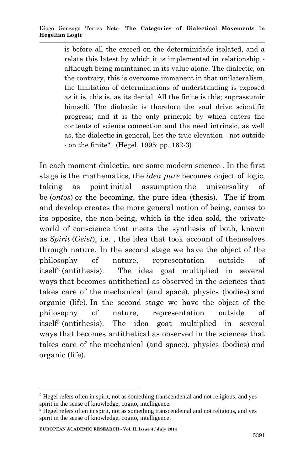is before all the exceed on the determinidade isolated, and a relate this latest by which it is implemented in relationship although being maintained in its value alone. The dialectic, on the contrary, this is overcome immanent in that unilateralism, the limitation of determinations of understanding is exposed as it is, this is, as its denial. All the finite is this; suprassumir himself. The dialectic is therefore the soul drive scientific progress; and it is the only principle by which enters the contents of science connection and the need intrinsic, as well as, the dialectic in general, lies the true elevation - not outside - on the finite". (Hegel, 1995: pp. 162-3)

In each moment dialectic, are some modern science . In the first stage is the mathematics, the *idea pure* becomes object of logic, taking as point initial assumption the universality of be (*ontos*) or the becoming, the pure idea (thesis). The if from and develop creates the more general notion of being, comes to its opposite, the non-being, which is the idea sold, the private world of conscience that meets the synthesis of both, known as *Spirit* (*Geist*), i.e. , the idea that took account of themselves through nature. In the second stage we have the object of the philosophy of nature, representation outside of itself<sup>2</sup> (antithesis). The idea goat multiplied in several ways that becomes antithetical as observed in the sciences that takes care of the mechanical (and space), physics (bodies) and organic (life). In the second stage we have the object of the philosophy of nature, representation outside of itself<sup>3</sup> (antithesis). The idea goat multiplied in several ways that becomes antithetical as observed in the sciences that takes care of the mechanical (and space), physics (bodies) and organic (life).

1

<sup>2</sup> Hegel refers often in spirit, not as something transcendental and not religious, and yes spirit in the sense of knowledge, cogito, intelligence.

<sup>&</sup>lt;sup>3</sup> Hegel refers often in spirit, not as something transcendental and not religious, and yes spirit in the sense of knowledge, cogito, intelligence.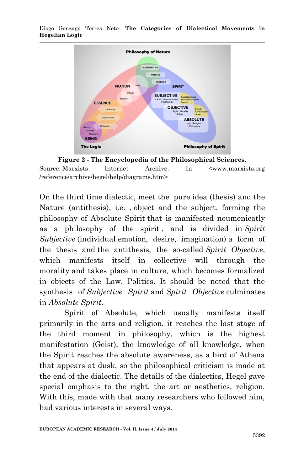

Diogo Gonzaga Torres Neto*-* **The Categories of Dialectical Movements in Hegelian Logic**

**Figure 2 - The Encyclopedia of the Philosophical Sciences.** Source: Marxists Internet Archive. In <www.marxists.org /reference/archive/hegel/help/diagrams.htm>

On the third time dialectic, meet the pure idea (thesis) and the Nature (antithesis), i.e. , object and the subject, forming the philosophy of Absolute Spirit that is manifested noumenicatly as a philosophy of the spirit , and is divided in *Spirit Subjective* (individual emotion, desire, imagination) a form of the thesis and the antithesis, the so-called *Spirit Objective*, which manifests itself in collective will through the morality and takes place in culture, which becomes formalized in objects of the Law, Politics. It should be noted that the synthesis of *Subjective Spirit* and *Spirit Objective* culminates in *Absolute Spirit*.

Spirit of Absolute, which usually manifests itself primarily in the arts and religion, it reaches the last stage of the third moment in philosophy, which is the highest manifestation (Geist), the knowledge of all knowledge, when the Spirit reaches the absolute awareness, as a bird of Athena that appears at dusk, so the philosophical criticism is made at the end of the dialectic. The details of the dialectics, Hegel gave special emphasis to the right, the art or aesthetics, religion. With this, made with that many researchers who followed him, had various interests in several ways.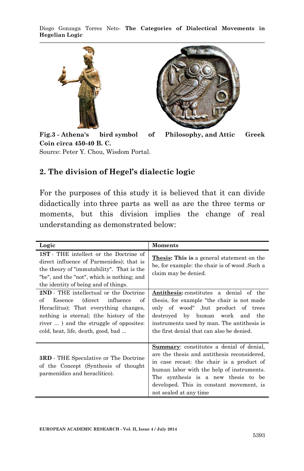Diogo Gonzaga Torres Neto*-* **The Categories of Dialectical Movements in Hegelian Logic**



**Fig.3 - Athena's bird symbol of Philosophy, and Attic Greek Coin circa 450-40 B. C.** Source: Peter Y. Chou, Wisdom Portal.

#### **2. The division of Hegel's dialectic logic**

For the purposes of this study it is believed that it can divide didactically into three parts as well as are the three terms or moments, but this division implies the change of real understanding as demonstrated below:

| Logic                                                                                                                                                                                                                                               | <b>Moments</b>                                                                                                                                                                                                                                                                                        |
|-----------------------------------------------------------------------------------------------------------------------------------------------------------------------------------------------------------------------------------------------------|-------------------------------------------------------------------------------------------------------------------------------------------------------------------------------------------------------------------------------------------------------------------------------------------------------|
| <b>1ST</b> - THE intellect or the Doctrine of<br>direct influence of Parmenides); that is<br>the theory of "immutability". That is the<br>"be", and the "not", which is nothing; and<br>the identity of being and of things.                        | <b>Thesis: This is a general statement on the</b><br>be, for example: the chair is of wood. Such a<br>claim may be denied.                                                                                                                                                                            |
| 2ND - THE intellectual or the Doctrine<br>Essence (direct influence<br>of<br>of<br>Heraclitus); That everything changes,<br>nothing is eternal; (the history of the<br>river ) and the struggle of opposites:<br>cold, heat, life, death, good, bad | Antithesis: constitutes a denial of the<br>thesis, for example "the chair is not made"<br>only of wood", but product of trees<br>destroyed by human work and<br>the<br>instruments used by man. The antithesis is<br>the first denial that can also be denied.                                        |
| <b>3RD</b> - THE Speculative or The Doctrine<br>of the Concept (Synthesis of thought<br>parmenídico and heraclítico).                                                                                                                               | <b>Summary:</b> constitutes a denial of denial,<br>are the thesis and antithesis reconsidered.<br>in case recast: the chair is a product of<br>human labor with the help of instruments.<br>The synthesis is a new thesis to be<br>developed. This in constant movement, is<br>not sealed at any time |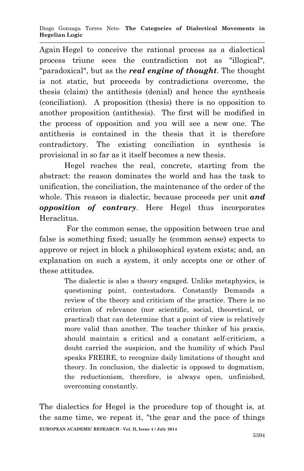Again Hegel to conceive the rational process as a dialectical process triune sees the contradiction not as "illogical", "paradoxical", but as the *real engine of thought*. The thought is not static, but proceeds by contradictions overcome, the thesis (claim) the antithesis (denial) and hence the synthesis (conciliation). A proposition (thesis) there is no opposition to another proposition (antithesis). The first will be modified in the process of opposition and you will see a new one. The antithesis is contained in the thesis that it is therefore contradictory. The existing conciliation in synthesis is provisional in so far as it itself becomes a new thesis.

Hegel reaches the real, concrete, starting from the abstract: the reason dominates the world and has the task to unification, the conciliation, the maintenance of the order of the whole. This reason is dialectic, because proceeds per unit *and opposition of contrary*. Here Hegel thus incorporates Heraclitus.

For the common sense, the opposition between true and false is something fixed; usually he (common sense) expects to approve or reject in block a philosophical system exists; and, an explanation on such a system, it only accepts one or other of these attitudes.

> The dialectic is also a theory engaged. Unlike metaphysics, is questioning point, contestadora. Constantly Demands a review of the theory and criticism of the practice. There is no criterion of relevance (nor scientific, social, theoretical, or practical) that can determine that a point of view is relatively more valid than another. The teacher thinker of his praxis, should maintain a critical and a constant self-criticism, a doubt carried the suspicion, and the humility of which Paul speaks FREIRE, to recognize daily limitations of thought and theory. In conclusion, the dialectic is opposed to dogmatism, the reductionism, therefore, is always open, unfinished, overcoming constantly.

**EUROPEAN ACADEMIC RESEARCH - Vol. II, Issue 4 / July 2014** The dialectics for Hegel is the procedure top of thought is, at the same time, we repeat it, "the gear and the pace of things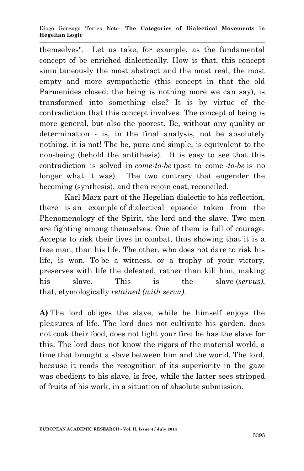Diogo Gonzaga Torres Neto*-* **The Categories of Dialectical Movements in Hegelian Logic**

themselves". Let us take, for example, as the fundamental concept of be enriched dialectically. How is that, this concept simultaneously the most abstract and the most real, the most empty and more sympathetic (this concept in that the old Parmenides closed: the being is nothing more we can say), is transformed into something else? It is by virtue of the contradiction that this concept involves. The concept of being is more general, but also the poorest. Be, without any quality or determination - is, in the final analysis, not be absolutely nothing, it is not! The be, pure and simple, is equivalent to the non-being (behold the antithesis). It is easy to see that this contradiction is solved in *come-to-be* (post to come *-to-be* is no longer what it was). The two contrary that engender the becoming (synthesis), and then rejoin cast, reconciled.

Karl Marx part of the Hegelian dialectic to his reflection, there is an example of dialectical episode taken from the Phenomenology of the Spirit, the lord and the slave. Two men are fighting among themselves. One of them is full of courage. Accepts to risk their lives in combat, thus showing that it is a free man, than his life. The other, who does not dare to risk his life, is won. To be a witness, or a trophy of your victory, preserves with life the defeated, rather than kill him, making his slave. This is the slave (*servus)*, that, etymologically *retained (with servu)*.

**A)** The lord obliges the slave, while he himself enjoys the pleasures of life. The lord does not cultivate his garden, does not cook their food, does not light your fire: he has the slave for this. The lord does not know the rigors of the material world, a time that brought a slave between him and the world. The lord, because it reads the recognition of its superiority in the gaze was obedient to his slave, is free, while the latter sees stripped of fruits of his work, in a situation of absolute submission.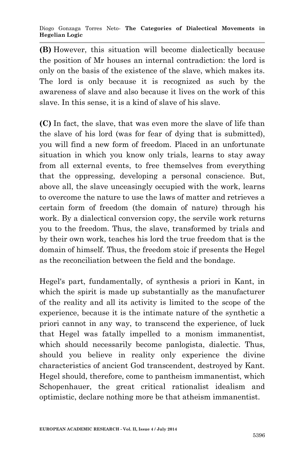**(B)** However, this situation will become dialectically because the position of Mr houses an internal contradiction: the lord is only on the basis of the existence of the slave, which makes its. The lord is only because it is recognized as such by the awareness of slave and also because it lives on the work of this slave. In this sense, it is a kind of slave of his slave.

**(C)** In fact, the slave, that was even more the slave of life than the slave of his lord (was for fear of dying that is submitted), you will find a new form of freedom. Placed in an unfortunate situation in which you know only trials, learns to stay away from all external events, to free themselves from everything that the oppressing, developing a personal conscience. But, above all, the slave unceasingly occupied with the work, learns to overcome the nature to use the laws of matter and retrieves a certain form of freedom (the domain of nature) through his work. By a dialectical conversion copy, the servile work returns you to the freedom. Thus, the slave, transformed by trials and by their own work, teaches his lord the true freedom that is the domain of himself. Thus, the freedom stoic if presents the Hegel as the reconciliation between the field and the bondage.

Hegel's part, fundamentally, of synthesis a priori in Kant, in which the spirit is made up substantially as the manufacturer of the reality and all its activity is limited to the scope of the experience, because it is the intimate nature of the synthetic a priori cannot in any way, to transcend the experience, of luck that Hegel was fatally impelled to a monism immanentist, which should necessarily become panlogista, dialectic. Thus, should you believe in reality only experience the divine characteristics of ancient God transcendent, destroyed by Kant. Hegel should, therefore, come to pantheism immanentist, which Schopenhauer, the great critical rationalist idealism and optimistic, declare nothing more be that atheism immanentist.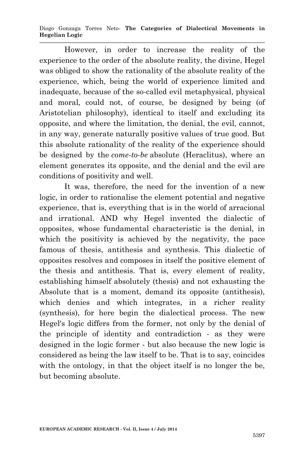Diogo Gonzaga Torres Neto*-* **The Categories of Dialectical Movements in Hegelian Logic**

However, in order to increase the reality of the experience to the order of the absolute reality, the divine, Hegel was obliged to show the rationality of the absolute reality of the experience, which, being the world of experience limited and inadequate, because of the so-called evil metaphysical, physical and moral, could not, of course, be designed by being (of Aristotelian philosophy), identical to itself and excluding its opposite, and where the limitation, the denial, the evil, cannot, in any way, generate naturally positive values of true good. But this absolute rationality of the reality of the experience should be designed by the *come-to-be* absolute (Heraclitus), where an element generates its opposite, and the denial and the evil are conditions of positivity and well.

It was, therefore, the need for the invention of a new logic, in order to rationalise the element potential and negative experience, that is, everything that is in the world of arracional and irrational. AND why Hegel invented the dialectic of opposites, whose fundamental characteristic is the denial, in which the positivity is achieved by the negativity, the pace famous of thesis, antithesis and synthesis. This dialectic of opposites resolves and composes in itself the positive element of the thesis and antithesis. That is, every element of reality, establishing himself absolutely (thesis) and not exhausting the Absolute that is a moment, demand its opposite (antithesis), which denies and which integrates, in a richer reality (synthesis), for here begin the dialectical process. The new Hegel's logic differs from the former, not only by the denial of the principle of identity and contradiction - as they were designed in the logic former - but also because the new logic is considered as being the law itself to be. That is to say, coincides with the ontology, in that the object itself is no longer the be, but becoming absolute.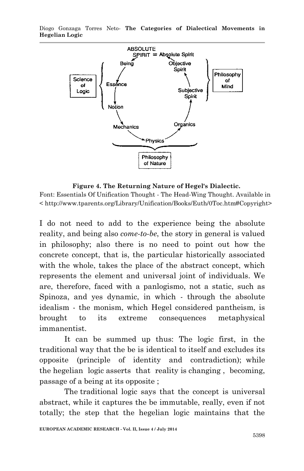Diogo Gonzaga Torres Neto*-* **The Categories of Dialectical Movements in Hegelian Logic**



**Figure 4. The Returning Nature of Hegel's Dialectic.**

Font: Essentials Of Unification Thought - The Head-Wing Thought. Available in < http://www.tparents.org/Library/Unification/Books/Euth/0Toc.htm#Copyright>

I do not need to add to the experience being the absolute reality, and being also *come-to-be*, the story in general is valued in philosophy; also there is no need to point out how the concrete concept, that is, the particular historically associated with the whole, takes the place of the abstract concept, which represents the element and universal joint of individuals. We are, therefore, faced with a panlogismo, not a static, such as Spinoza, and yes dynamic, in which - through the absolute idealism - the monism, which Hegel considered pantheism, is brought to its extreme consequences metaphysical immanentist.

It can be summed up thus: The logic first, in the traditional way that the be is identical to itself and excludes its opposite (principle of identity and contradiction); while the hegelian logic asserts that reality is changing , becoming, passage of a being at its opposite ;

The traditional logic says that the concept is universal abstract, while it captures the be immutable, really, even if not totally; the step that the hegelian logic maintains that the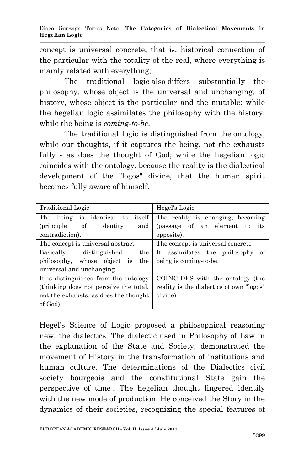concept is universal concrete, that is, historical connection of the particular with the totality of the real, where everything is mainly related with everything;

The traditional logic also differs substantially the philosophy, whose object is the universal and unchanging, of history, whose object is the particular and the mutable; while the hegelian logic assimilates the philosophy with the history, while the being is *coming-to-be*.

The traditional logic is distinguished from the ontology, while our thoughts, if it captures the being, not the exhausts fully - as does the thought of God; while the hegelian logic coincides with the ontology, because the reality is the dialectical development of the "logos" divine, that the human spirit becomes fully aware of himself.

| <b>Traditional Logic</b>               | Hegel's Logic                            |
|----------------------------------------|------------------------------------------|
| being is identical to<br>itself<br>The | The reality is changing, becoming        |
| of<br>identity<br>(principle)<br>and   | (passage of an element to<br>its         |
| contradiction).                        | opposite).                               |
| The concept is universal abstract      | The concept is universal concrete        |
| the<br>distinguished<br>Basically      | It assimilates the philosophy of         |
| philosophy, whose object is<br>the     | being is coming-to-be.                   |
| universal and unchanging               |                                          |
| It is distinguished from the ontology  | COINCIDES with the ontology (the         |
| (thinking does not perceive the total, | reality is the dialectics of own "logos" |
| not the exhausts, as does the thought  | divine)                                  |
| of God)                                |                                          |

Hegel's Science of Logic proposed a philosophical reasoning new, the dialectics. The dialectic used in Philosophy of Law in the explanation of the State and Society, demonstrated the movement of History in the transformation of institutions and human culture. The determinations of the Dialectics civil society bourgeois and the constitutional State gain the perspective of time . The hegelian thought lingered identify with the new mode of production. He conceived the Story in the dynamics of their societies, recognizing the special features of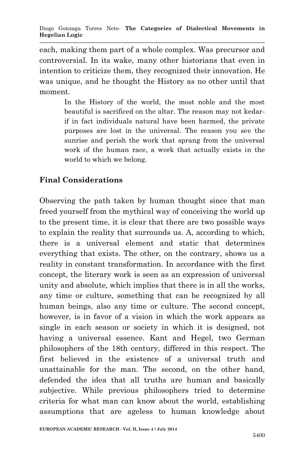each, making them part of a whole complex. Was precursor and controversial. In its wake, many other historians that even in intention to criticize them, they recognized their innovation. He was unique, and he thought the History as no other until that moment.

> In the History of the world, the most noble and the most beautiful is sacrificed on the altar. The reason may not kedarif in fact individuals natural have been harmed, the private purposes are lost in the universal. The reason you see the sunrise and perish the work that sprang from the universal work of the human race, a work that actually exists in the world to which we belong.

## **Final Considerations**

Observing the path taken by human thought since that man freed yourself from the mythical way of conceiving the world up to the present time, it is clear that there are two possible ways to explain the reality that surrounds us. A, according to which, there is a universal element and static that determines everything that exists. The other, on the contrary, shows us a reality in constant transformation. In accordance with the first concept, the literary work is seen as an expression of universal unity and absolute, which implies that there is in all the works, any time or culture, something that can be recognized by all human beings, also any time or culture. The second concept, however, is in favor of a vision in which the work appears as single in each season or society in which it is designed, not having a universal essence. Kant and Hegel, two German philosophers of the 18th century, differed in this respect. The first believed in the existence of a universal truth and unattainable for the man. The second, on the other hand, defended the idea that all truths are human and basically subjective. While previous philosophers tried to determine criteria for what man can know about the world, establishing assumptions that are ageless to human knowledge about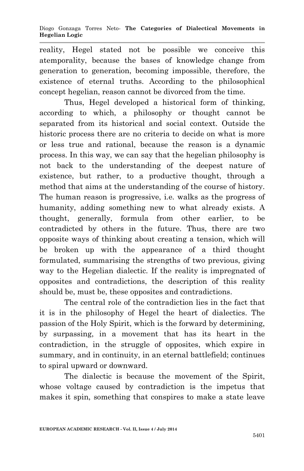reality, Hegel stated not be possible we conceive this atemporality, because the bases of knowledge change from generation to generation, becoming impossible, therefore, the existence of eternal truths. According to the philosophical concept hegelian, reason cannot be divorced from the time.

Thus, Hegel developed a historical form of thinking, according to which, a philosophy or thought cannot be separated from its historical and social context. Outside the historic process there are no criteria to decide on what is more or less true and rational, because the reason is a dynamic process. In this way, we can say that the hegelian philosophy is not back to the understanding of the deepest nature of existence, but rather, to a productive thought, through a method that aims at the understanding of the course of history. The human reason is progressive, i.e. walks as the progress of humanity, adding something new to what already exists. A thought, generally, formula from other earlier, to be contradicted by others in the future. Thus, there are two opposite ways of thinking about creating a tension, which will be broken up with the appearance of a third thought formulated, summarising the strengths of two previous, giving way to the Hegelian dialectic. If the reality is impregnated of opposites and contradictions, the description of this reality should be, must be, these opposites and contradictions.

The central role of the contradiction lies in the fact that it is in the philosophy of Hegel the heart of dialectics. The passion of the Holy Spirit, which is the forward by determining, by surpassing, in a movement that has its heart in the contradiction, in the struggle of opposites, which expire in summary, and in continuity, in an eternal battlefield; continues to spiral upward or downward.

The dialectic is because the movement of the Spirit, whose voltage caused by contradiction is the impetus that makes it spin, something that conspires to make a state leave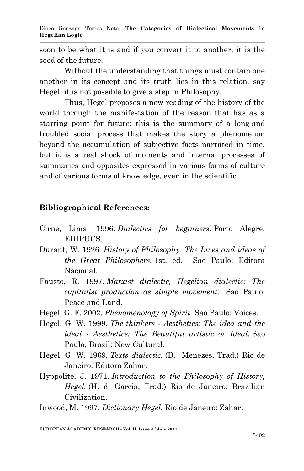soon to be what it is and if you convert it to another, it is the seed of the future.

Without the understanding that things must contain one another in its concept and its truth lies in this relation, say Hegel, it is not possible to give a step in Philosophy.

Thus, Hegel proposes a new reading of the history of the world through the manifestation of the reason that has as a starting point for future: this is the summary of a long and troubled social process that makes the story a phenomenon beyond the accumulation of subjective facts narrated in time, but it is a real shock of moments and internal processes of summaries and opposites expressed in various forms of culture and of various forms of knowledge, even in the scientific.

### **Bibliographical References:**

- Cirne, Lima. 1996. *Dialectics for beginners.* Porto Alegre: EDIPUCS.
- Durant, W. 1926. *History of Philosophy: The Lives and ideas of the Great Philosophers.* 1st. ed. Sao Paulo: Editora Nacional.
- Fausto, R. 1997. *Marxist dialectic, Hegelian dialectic: The capitalist production as simple movement.* Sao Paulo: Peace and Land.
- Hegel, G. F. 2002. *Phenomenology of Spirit.* Sao Paulo: Voices.
- Hegel, G. W. 1999. *The thinkers - Aesthetics: The idea and the ideal - Aesthetics: The Beautiful artistic or Ideal.* Sao Paulo, Brazil: New Cultural.
- Hegel, G. W. 1969. *Texts dialectic.* (D. Menezes, Trad.) Rio de Janeiro: Editora Zahar.
- Hyppolite, J. 1971. *Introduction to the Philosophy of History, Hegel.* (H. d. Garcia, Trad.) Rio de Janeiro: Brazilian Civilization.

Inwood, M. 1997. *Dictionary Hegel.* Rio de Janeiro: Zahar.